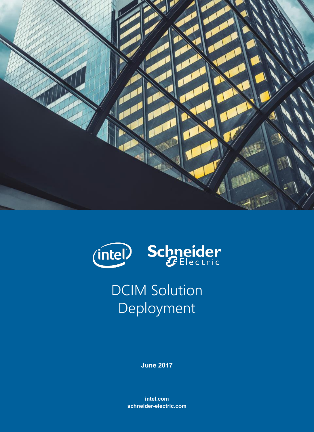



DCIM Solution Deployment

**June 2017**

**intel.com schneider-electric.com**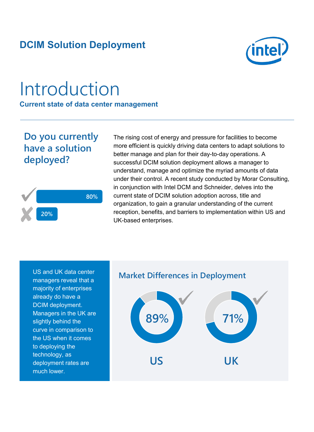## **DCIM Solution Deployment**



# Introduction

**Current state of data center management**

## **Do you currently have a solution deployed?**



The rising cost of energy and pressure for facilities to become more efficient is quickly driving data centers to adapt solutions to better manage and plan for their day-to-day operations. A successful DCIM solution deployment allows a manager to understand, manage and optimize the myriad amounts of data under their control. A recent study conducted by Morar Consulting, in conjunction with Intel DCM and Schneider, delves into the current state of DCIM solution adoption across, title and organization, to gain a granular understanding of the current reception, benefits, and barriers to implementation within US and UK-based enterprises.

US and UK data center managers reveal that a majority of enterprises already do have a DCIM deployment. Managers in the UK are slightly behind the curve in comparison to the US when it comes to deploying the technology, as deployment rates are much lower.

#### **Market Differences in Deployment**

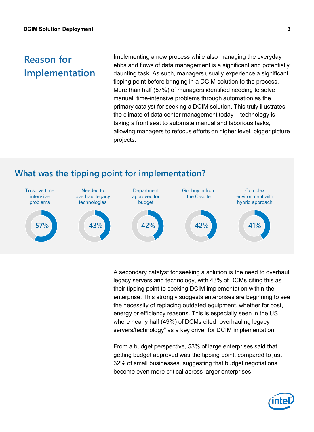## **Reason for Implementation**

Implementing a new process while also managing the everyday ebbs and flows of data management is a significant and potentially daunting task. As such, managers usually experience a significant tipping point before bringing in a DCIM solution to the process. More than half (57%) of managers identified needing to solve manual, time-intensive problems through automation as the primary catalyst for seeking a DCIM solution. This truly illustrates the climate of data center management today – technology is taking a front seat to automate manual and laborious tasks, allowing managers to refocus efforts on higher level, bigger picture projects.

#### **What was the tipping point for implementation?**



A secondary catalyst for seeking a solution is the need to overhaul legacy servers and technology, with 43% of DCMs citing this as their tipping point to seeking DCIM implementation within the enterprise. This strongly suggests enterprises are beginning to see the necessity of replacing outdated equipment, whether for cost, energy or efficiency reasons. This is especially seen in the US where nearly half (49%) of DCMs cited "overhauling legacy servers/technology" as a key driver for DCIM implementation.

From a budget perspective, 53% of large enterprises said that getting budget approved was the tipping point, compared to just 32% of small businesses, suggesting that budget negotiations become even more critical across larger enterprises.

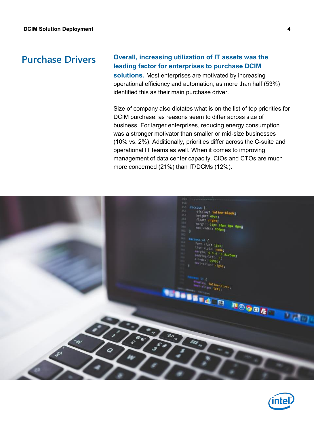#### **Purchase Drivers**

#### **Overall, increasing utilization of IT assets was the leading factor for enterprises to purchase DCIM**

**solutions.** Most enterprises are motivated by increasing operational efficiency and automation, as more than half (53%) identified this as their main purchase driver.

Size of company also dictates what is on the list of top priorities for DCIM purchase, as reasons seem to differ across size of business. For larger enterprises, reducing energy consumption was a stronger motivator than smaller or mid-size businesses (10% vs. 2%). Additionally, priorities differ across the C-suite and operational IT teams as well. When it comes to improving management of data center capacity, CIOs and CTOs are much more concerned (21%) than IT/DCMs (12%).



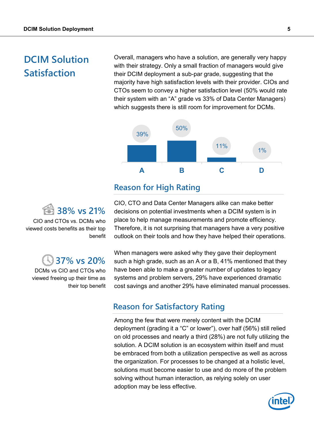## **DCIM Solution Satisfaction**

Overall, managers who have a solution, are generally very happy with their strategy. Only a small fraction of managers would give their DCIM deployment a sub-par grade, suggesting that the majority have high satisfaction levels with their provider. CIOs and CTOs seem to convey a higher satisfaction level (50% would rate their system with an "A" grade vs 33% of Data Center Managers) which suggests there is still room for improvement for DCMs.



#### **Reason for High Rating**

**38% vs 21%**

CIO and CTOs vs. DCMs who viewed costs benefits as their top benefit

### **37% vs 20%**

DCMs vs CIO and CTOs who viewed freeing up their time as their top benefit

CIO, CTO and Data Center Managers alike can make better decisions on potential investments when a DCIM system is in place to help manage measurements and promote efficiency. Therefore, it is not surprising that managers have a very positive outlook on their tools and how they have helped their operations.

When managers were asked why they gave their deployment such a high grade, such as an A or a B, 41% mentioned that they have been able to make a greater number of updates to legacy systems and problem servers, 29% have experienced dramatic cost savings and another 29% have eliminated manual processes.

#### **Reason for Satisfactory Rating**

Among the few that were merely content with the DCIM deployment (grading it a "C" or lower"), over half (56%) still relied on old processes and nearly a third (28%) are not fully utilizing the solution. A DCIM solution is an ecosystem within itself and must be embraced from both a utilization perspective as well as across the organization. For processes to be changed at a holistic level, solutions must become easier to use and do more of the problem solving without human interaction, as relying solely on user adoption may be less effective.

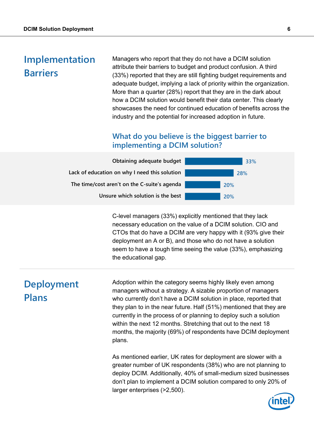### **Implementation Barriers**

Managers who report that they do not have a DCIM solution attribute their barriers to budget and product confusion. A third (33%) reported that they are still fighting budget requirements and adequate budget, implying a lack of priority within the organization. More than a quarter (28%) report that they are in the dark about how a DCIM solution would benefit their data center. This clearly showcases the need for continued education of benefits across the industry and the potential for increased adoption in future.

#### **What do you believe is the biggest barrier to implementing a DCIM solution?**



C-level managers (33%) explicitly mentioned that they lack necessary education on the value of a DCIM solution. CIO and CTOs that do have a DCIM are very happy with it (93% give their deployment an A or B), and those who do not have a solution seem to have a tough time seeing the value (33%), emphasizing the educational gap.

## **Deployment Plans**

Adoption within the category seems highly likely even among managers without a strategy. A sizable proportion of managers who currently don't have a DCIM solution in place, reported that they plan to in the near future. Half (51%) mentioned that they are currently in the process of or planning to deploy such a solution within the next 12 months. Stretching that out to the next 18 months, the majority (69%) of respondents have DCIM deployment plans.

As mentioned earlier, UK rates for deployment are slower with a greater number of UK respondents (38%) who are not planning to deploy DCIM. Additionally, 40% of small-medium sized businesses don't plan to implement a DCIM solution compared to only 20% of larger enterprises (>2,500).

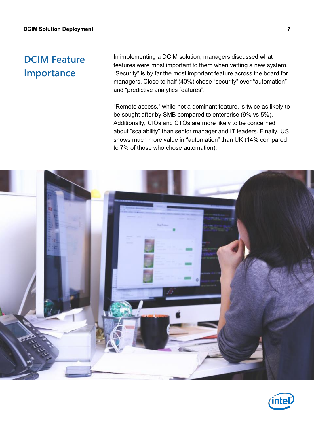## **DCIM Feature Importance**

In implementing a DCIM solution, managers discussed what features were most important to them when vetting a new system. "Security" is by far the most important feature across the board for managers. Close to half (40%) chose "security" over "automation" and "predictive analytics features".

"Remote access," while not a dominant feature, is twice as likely to be sought after by SMB compared to enterprise (9% vs 5%). Additionally, CIOs and CTOs are more likely to be concerned about "scalability" than senior manager and IT leaders. Finally, US shows much more value in "automation" than UK (14% compared to 7% of those who chose automation).



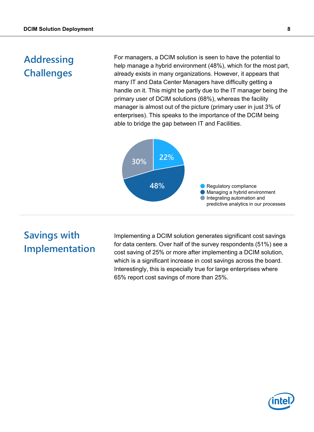## **Addressing Challenges**

For managers, a DCIM solution is seen to have the potential to help manage a hybrid environment (48%), which for the most part, already exists in many organizations. However, it appears that many IT and Data Center Managers have difficulty getting a handle on it. This might be partly due to the IT manager being the primary user of DCIM solutions (68%), whereas the facility manager is almost out of the picture (primary user in just 3% of enterprises). This speaks to the importance of the DCIM being able to bridge the gap between IT and Facilities.



## **Savings with Implementation**

Implementing a DCIM solution generates significant cost savings for data centers. Over half of the survey respondents (51%) see a cost saving of 25% or more after implementing a DCIM solution, which is a significant increase in cost savings across the board. Interestingly, this is especially true for large enterprises where 65% report cost savings of more than 25%.

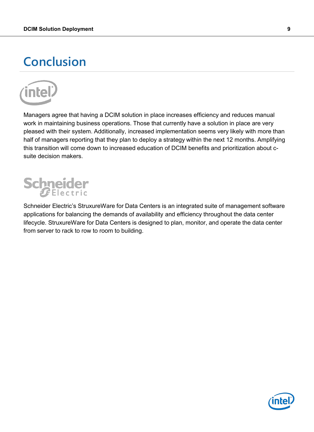## **Conclusion**



Managers agree that having a DCIM solution in place increases efficiency and reduces manual work in maintaining business operations. Those that currently have a solution in place are very pleased with their system. Additionally, increased implementation seems very likely with more than half of managers reporting that they plan to deploy a strategy within the next 12 months. Amplifying this transition will come down to increased education of DCIM benefits and prioritization about csuite decision makers.

# Schneider

Schneider Electric's StruxureWare for Data Centers is an integrated suite of management software applications for balancing the demands of availability and efficiency throughout the data center lifecycle. StruxureWare for Data Centers is designed to plan, monitor, and operate the data center from server to rack to row to room to building.